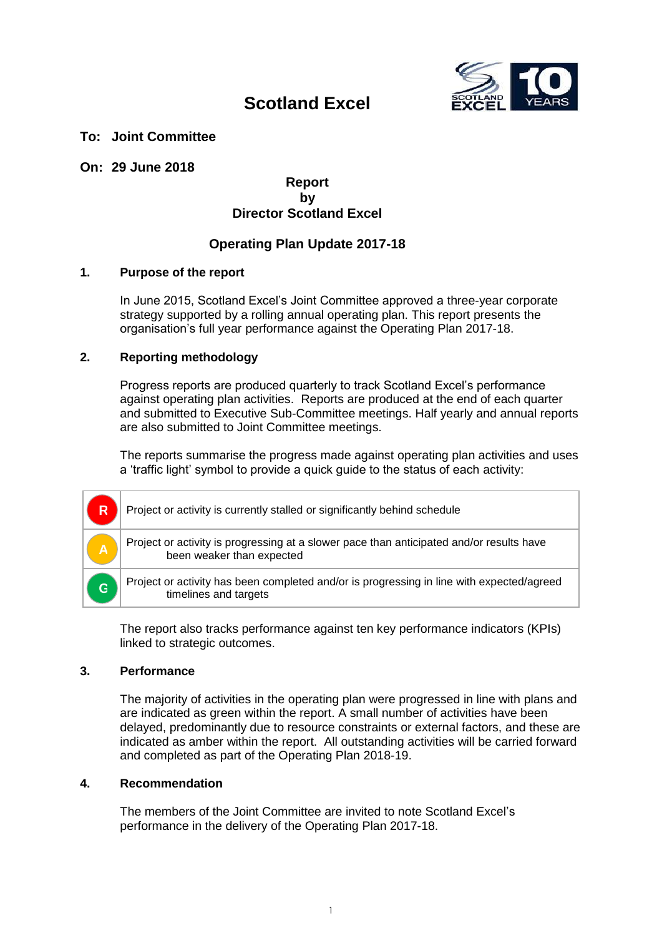

### **Scotland Excel**

#### **To: Joint Committee**

#### **On: 29 June 2018**

#### **Report by Director Scotland Excel**

#### **Operating Plan Update 2017-18**

#### **1. Purpose of the report**

In June 2015, Scotland Excel's Joint Committee approved a three-year corporate strategy supported by a rolling annual operating plan. This report presents the organisation's full year performance against the Operating Plan 2017-18.

#### **2. Reporting methodology**

Progress reports are produced quarterly to track Scotland Excel's performance against operating plan activities. Reports are produced at the end of each quarter and submitted to Executive Sub-Committee meetings. Half yearly and annual reports are also submitted to Joint Committee meetings.

The reports summarise the progress made against operating plan activities and uses a 'traffic light' symbol to provide a quick guide to the status of each activity:

| $\overline{\mathsf{R}}$ | Project or activity is currently stalled or significantly behind schedule                                             |
|-------------------------|-----------------------------------------------------------------------------------------------------------------------|
|                         | Project or activity is progressing at a slower pace than anticipated and/or results have<br>been weaker than expected |
| G                       | Project or activity has been completed and/or is progressing in line with expected/agreed<br>timelines and targets    |

The report also tracks performance against ten key performance indicators (KPIs) linked to strategic outcomes.

#### **3. Performance**

The majority of activities in the operating plan were progressed in line with plans and are indicated as green within the report. A small number of activities have been delayed, predominantly due to resource constraints or external factors, and these are indicated as amber within the report. All outstanding activities will be carried forward and completed as part of the Operating Plan 2018-19.

#### **4. Recommendation**

The members of the Joint Committee are invited to note Scotland Excel's performance in the delivery of the Operating Plan 2017-18.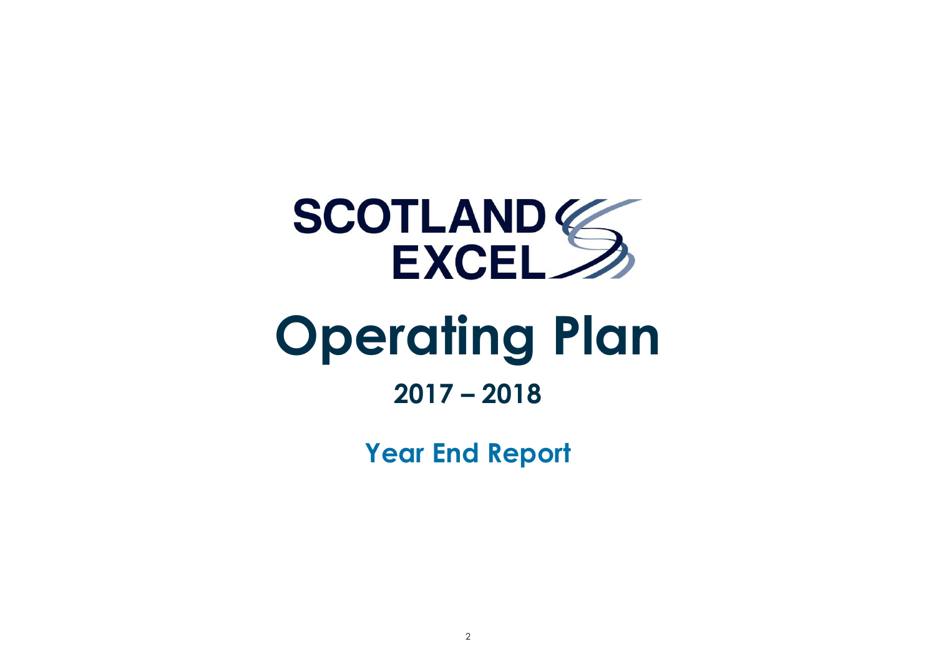

# **Operating Plan**

## **2017 – 2018**

**Year End Report**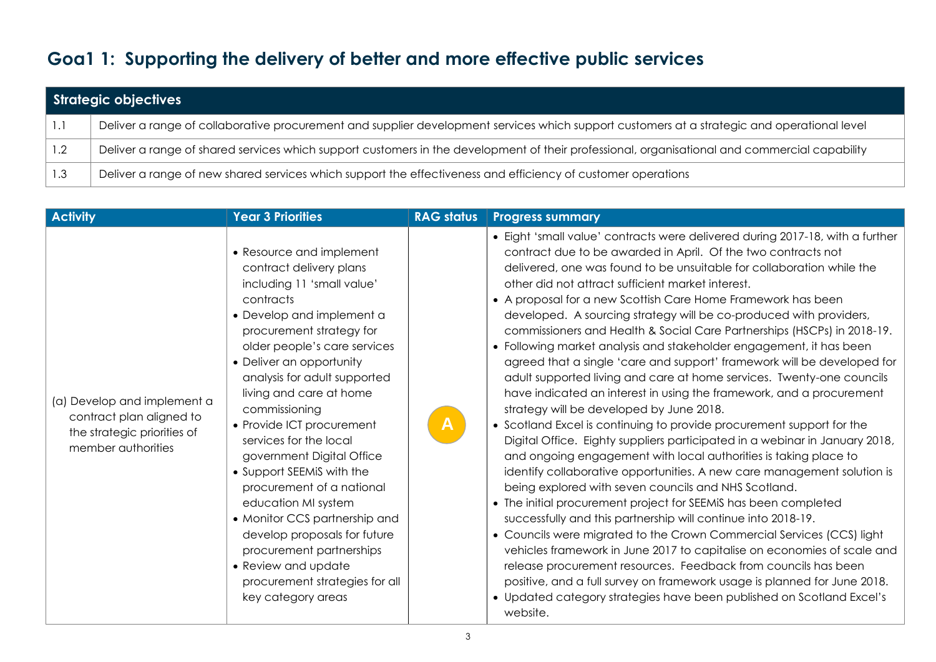## **Goa1 1: Supporting the delivery of better and more effective public services**

|       | Strategic objectives                                                                                                                          |  |  |  |  |
|-------|-----------------------------------------------------------------------------------------------------------------------------------------------|--|--|--|--|
| - 1.1 | Deliver a range of collaborative procurement and supplier development services which support customers at a strategic and operational level   |  |  |  |  |
| 1.2   | Deliver a range of shared services which support customers in the development of their professional, organisational and commercial capability |  |  |  |  |
| 1.3   | Deliver a range of new shared services which support the effectiveness and efficiency of customer operations                                  |  |  |  |  |

| <b>Activity</b>                                                                                              | <b>Year 3 Priorities</b>                                                                                                                                                                                                                                                                                                                                                                                                                                                                                                                                                                                                                         | <b>RAG status</b> | <b>Progress summary</b>                                                                                                                                                                                                                                                                                                                                                                                                                                                                                                                                                                                                                                                                                                                                                                                                                                                                                                                                                                                                                                                                                                                                                                                                                                                                                                                                                                                                                                                                                                                                                                                                                                                                                                                |
|--------------------------------------------------------------------------------------------------------------|--------------------------------------------------------------------------------------------------------------------------------------------------------------------------------------------------------------------------------------------------------------------------------------------------------------------------------------------------------------------------------------------------------------------------------------------------------------------------------------------------------------------------------------------------------------------------------------------------------------------------------------------------|-------------------|----------------------------------------------------------------------------------------------------------------------------------------------------------------------------------------------------------------------------------------------------------------------------------------------------------------------------------------------------------------------------------------------------------------------------------------------------------------------------------------------------------------------------------------------------------------------------------------------------------------------------------------------------------------------------------------------------------------------------------------------------------------------------------------------------------------------------------------------------------------------------------------------------------------------------------------------------------------------------------------------------------------------------------------------------------------------------------------------------------------------------------------------------------------------------------------------------------------------------------------------------------------------------------------------------------------------------------------------------------------------------------------------------------------------------------------------------------------------------------------------------------------------------------------------------------------------------------------------------------------------------------------------------------------------------------------------------------------------------------------|
| (a) Develop and implement a<br>contract plan aligned to<br>the strategic priorities of<br>member authorities | • Resource and implement<br>contract delivery plans<br>including 11 'small value'<br>contracts<br>• Develop and implement a<br>procurement strategy for<br>older people's care services<br>• Deliver an opportunity<br>analysis for adult supported<br>living and care at home<br>commissioning<br>• Provide ICT procurement<br>services for the local<br>government Digital Office<br>• Support SEEMiS with the<br>procurement of a national<br>education MI system<br>• Monitor CCS partnership and<br>develop proposals for future<br>procurement partnerships<br>• Review and update<br>procurement strategies for all<br>key category areas | $\mathsf{A}$      | • Eight 'small value' contracts were delivered during 2017-18, with a further<br>contract due to be awarded in April. Of the two contracts not<br>delivered, one was found to be unsuitable for collaboration while the<br>other did not attract sufficient market interest.<br>• A proposal for a new Scottish Care Home Framework has been<br>developed. A sourcing strategy will be co-produced with providers,<br>commissioners and Health & Social Care Partnerships (HSCPs) in 2018-19.<br>• Following market analysis and stakeholder engagement, it has been<br>agreed that a single 'care and support' framework will be developed for<br>adult supported living and care at home services. Twenty-one councils<br>have indicated an interest in using the framework, and a procurement<br>strategy will be developed by June 2018.<br>• Scotland Excel is continuing to provide procurement support for the<br>Digital Office. Eighty suppliers participated in a webinar in January 2018,<br>and ongoing engagement with local authorities is taking place to<br>identify collaborative opportunities. A new care management solution is<br>being explored with seven councils and NHS Scotland.<br>• The initial procurement project for SEEMIS has been completed<br>successfully and this partnership will continue into 2018-19.<br>• Councils were migrated to the Crown Commercial Services (CCS) light<br>vehicles framework in June 2017 to capitalise on economies of scale and<br>release procurement resources. Feedback from councils has been<br>positive, and a full survey on framework usage is planned for June 2018.<br>• Updated category strategies have been published on Scotland Excel's<br>website. |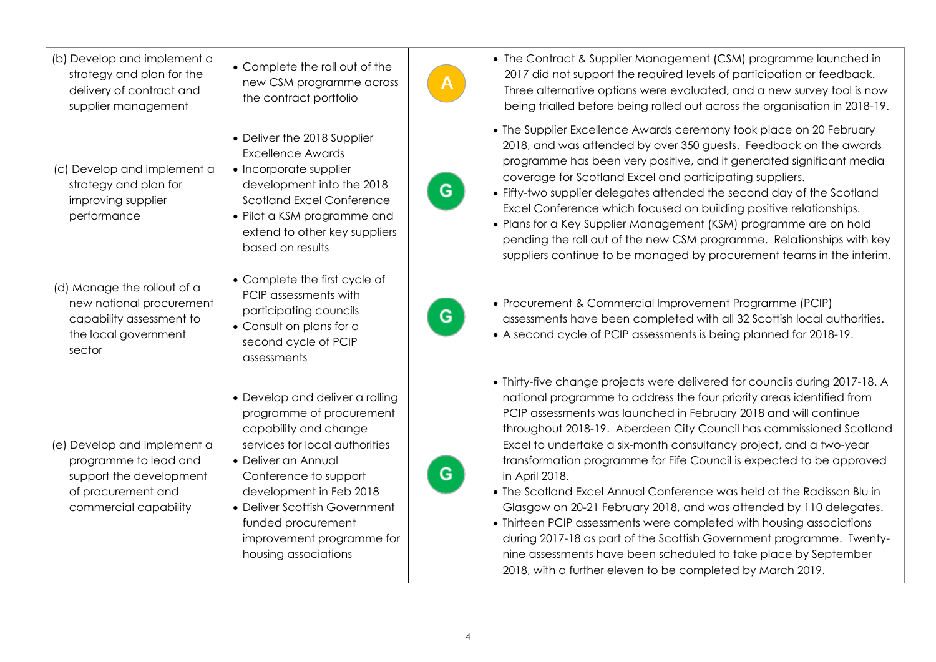| (b) Develop and implement a<br>strategy and plan for the<br>delivery of contract and<br>supplier management                    | • Complete the roll out of the<br>new CSM programme across<br>the contract portfolio                                                                                                                                                                                                                          |   | • The Contract & Supplier Management (CSM) programme launched in<br>2017 did not support the required levels of participation or feedback.<br>Three alternative options were evaluated, and a new survey tool is now<br>being trialled before being rolled out across the organisation in 2018-19.                                                                                                                                                                                                                                                                                                                                                                                                                                                                                                                                                                                               |
|--------------------------------------------------------------------------------------------------------------------------------|---------------------------------------------------------------------------------------------------------------------------------------------------------------------------------------------------------------------------------------------------------------------------------------------------------------|---|--------------------------------------------------------------------------------------------------------------------------------------------------------------------------------------------------------------------------------------------------------------------------------------------------------------------------------------------------------------------------------------------------------------------------------------------------------------------------------------------------------------------------------------------------------------------------------------------------------------------------------------------------------------------------------------------------------------------------------------------------------------------------------------------------------------------------------------------------------------------------------------------------|
| (c) Develop and implement a<br>strategy and plan for<br>improving supplier<br>performance                                      | • Deliver the 2018 Supplier<br><b>Excellence Awards</b><br>• Incorporate supplier<br>development into the 2018<br><b>Scotland Excel Conference</b><br>• Pilot a KSM programme and<br>extend to other key suppliers<br>based on results                                                                        | G | • The Supplier Excellence Awards ceremony took place on 20 February<br>2018, and was attended by over 350 guests. Feedback on the awards<br>programme has been very positive, and it generated significant media<br>coverage for Scotland Excel and participating suppliers.<br>• Fifty-two supplier delegates attended the second day of the Scotland<br>Excel Conference which focused on building positive relationships.<br>· Plans for a Key Supplier Management (KSM) programme are on hold<br>pending the roll out of the new CSM programme. Relationships with key<br>suppliers continue to be managed by procurement teams in the interim.                                                                                                                                                                                                                                              |
| (d) Manage the rollout of a<br>new national procurement<br>capability assessment to<br>the local government<br>sector          | • Complete the first cycle of<br>PCIP assessments with<br>participating councils<br>• Consult on plans for a<br>second cycle of PCIP<br>assessments                                                                                                                                                           | G | • Procurement & Commercial Improvement Programme (PCIP)<br>assessments have been completed with all 32 Scottish local authorities.<br>• A second cycle of PCIP assessments is being planned for 2018-19.                                                                                                                                                                                                                                                                                                                                                                                                                                                                                                                                                                                                                                                                                         |
| (e) Develop and implement a<br>programme to lead and<br>support the development<br>of procurement and<br>commercial capability | • Develop and deliver a rolling<br>programme of procurement<br>capability and change<br>services for local authorities<br>• Deliver an Annual<br>Conference to support<br>development in Feb 2018<br>• Deliver Scottish Government<br>funded procurement<br>improvement programme for<br>housing associations | G | • Thirty-five change projects were delivered for councils during 2017-18. A<br>national programme to address the four priority areas identified from<br>PCIP assessments was launched in February 2018 and will continue<br>throughout 2018-19. Aberdeen City Council has commissioned Scotland<br>Excel to undertake a six-month consultancy project, and a two-year<br>transformation programme for Fife Council is expected to be approved<br>in April 2018.<br>• The Scotland Excel Annual Conference was held at the Radisson Blu in<br>Glasgow on 20-21 February 2018, and was attended by 110 delegates.<br>• Thirteen PCIP assessments were completed with housing associations<br>during 2017-18 as part of the Scottish Government programme. Twenty-<br>nine assessments have been scheduled to take place by September<br>2018, with a further eleven to be completed by March 2019. |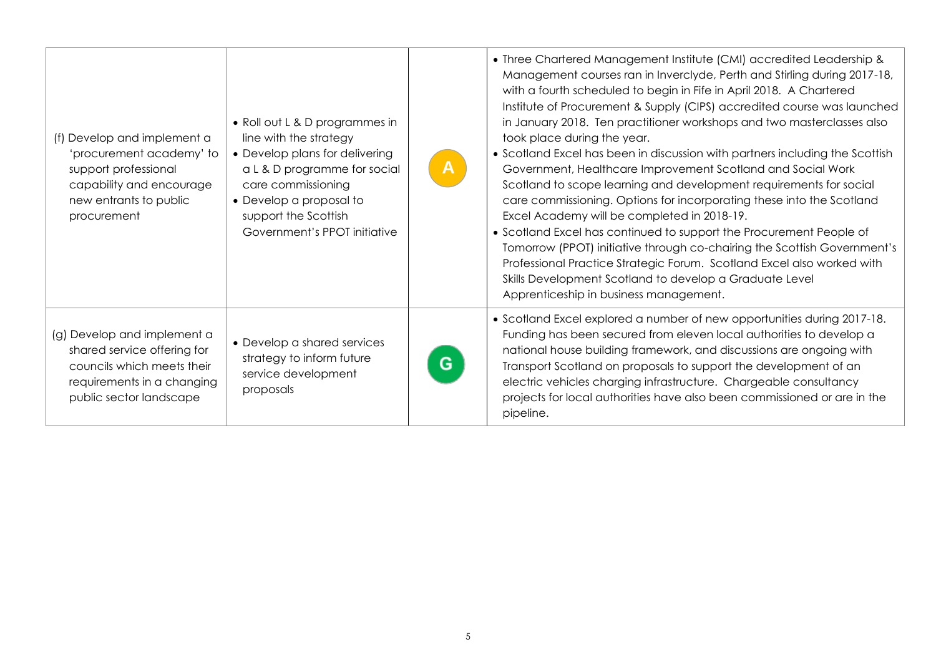| (f) Develop and implement a<br>'procurement academy' to<br>support professional<br>capability and encourage<br>new entrants to public<br>procurement | • Roll out L & D programmes in<br>line with the strategy<br>• Develop plans for delivering<br>a L & D programme for social<br>care commissioning<br>• Develop a proposal to<br>support the Scottish<br>Government's PPOT initiative | $\mathbf{A}$ | • Three Chartered Management Institute (CMI) accredited Leadership &<br>Management courses ran in Inverclyde, Perth and Stirling during 2017-18,<br>with a fourth scheduled to begin in Fife in April 2018. A Chartered<br>Institute of Procurement & Supply (CIPS) accredited course was launched<br>in January 2018. Ten practitioner workshops and two masterclasses also<br>took place during the year.<br>• Scotland Excel has been in discussion with partners including the Scottish<br>Government, Healthcare Improvement Scotland and Social Work<br>Scotland to scope learning and development requirements for social<br>care commissioning. Options for incorporating these into the Scotland<br>Excel Academy will be completed in 2018-19.<br>• Scotland Excel has continued to support the Procurement People of<br>Tomorrow (PPOT) initiative through co-chairing the Scottish Government's<br>Professional Practice Strategic Forum. Scotland Excel also worked with<br>Skills Development Scotland to develop a Graduate Level<br>Apprenticeship in business management. |
|------------------------------------------------------------------------------------------------------------------------------------------------------|-------------------------------------------------------------------------------------------------------------------------------------------------------------------------------------------------------------------------------------|--------------|--------------------------------------------------------------------------------------------------------------------------------------------------------------------------------------------------------------------------------------------------------------------------------------------------------------------------------------------------------------------------------------------------------------------------------------------------------------------------------------------------------------------------------------------------------------------------------------------------------------------------------------------------------------------------------------------------------------------------------------------------------------------------------------------------------------------------------------------------------------------------------------------------------------------------------------------------------------------------------------------------------------------------------------------------------------------------------------------|
| (g) Develop and implement a<br>shared service offering for<br>councils which meets their<br>requirements in a changing<br>public sector landscape    | • Develop a shared services<br>strategy to inform future<br>service development<br>proposals                                                                                                                                        | G            | • Scotland Excel explored a number of new opportunities during 2017-18.<br>Funding has been secured from eleven local authorities to develop a<br>national house building framework, and discussions are ongoing with<br>Transport Scotland on proposals to support the development of an<br>electric vehicles charging infrastructure. Chargeable consultancy<br>projects for local authorities have also been commissioned or are in the<br>pipeline.                                                                                                                                                                                                                                                                                                                                                                                                                                                                                                                                                                                                                                    |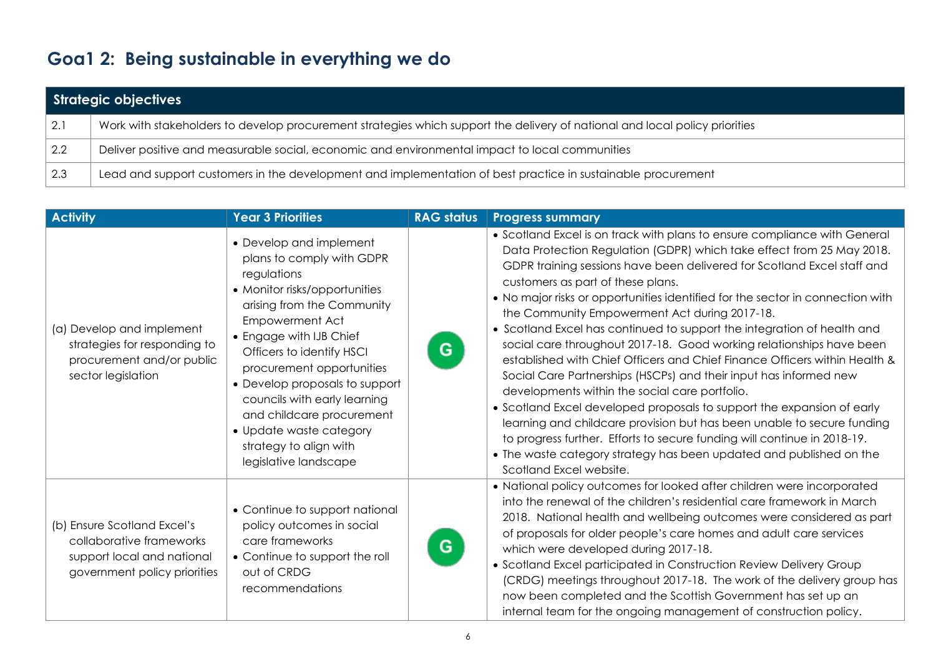## **Goa1 2: Being sustainable in everything we do**

|             | Strategic objectives                                                                                                        |  |  |  |
|-------------|-----------------------------------------------------------------------------------------------------------------------------|--|--|--|
| 2.1         | Work with stakeholders to develop procurement strategies which support the delivery of national and local policy priorities |  |  |  |
| 2.2         | Deliver positive and measurable social, economic and environmental impact to local communities                              |  |  |  |
| $\vert$ 2.3 | Lead and support customers in the development and implementation of best practice in sustainable procurement                |  |  |  |

| <b>Activity</b>                                                                                                       | <b>Year 3 Priorities</b>                                                                                                                                                                                                                                                                                                                                                                                                | <b>RAG status</b> | <b>Progress summary</b>                                                                                                                                                                                                                                                                                                                                                                                                                                                                                                                                                                                                                                                                                                                                                                                                                                                                                                                                                                                                                                                                         |
|-----------------------------------------------------------------------------------------------------------------------|-------------------------------------------------------------------------------------------------------------------------------------------------------------------------------------------------------------------------------------------------------------------------------------------------------------------------------------------------------------------------------------------------------------------------|-------------------|-------------------------------------------------------------------------------------------------------------------------------------------------------------------------------------------------------------------------------------------------------------------------------------------------------------------------------------------------------------------------------------------------------------------------------------------------------------------------------------------------------------------------------------------------------------------------------------------------------------------------------------------------------------------------------------------------------------------------------------------------------------------------------------------------------------------------------------------------------------------------------------------------------------------------------------------------------------------------------------------------------------------------------------------------------------------------------------------------|
| (a) Develop and implement<br>strategies for responding to<br>procurement and/or public<br>sector legislation          | • Develop and implement<br>plans to comply with GDPR<br>regulations<br>• Monitor risks/opportunities<br>arising from the Community<br>Empowerment Act<br>• Engage with IJB Chief<br>Officers to identify HSCI<br>procurement opportunities<br>• Develop proposals to support<br>councils with early learning<br>and childcare procurement<br>• Update waste category<br>strategy to align with<br>legislative landscape | G                 | • Scotland Excel is on track with plans to ensure compliance with General<br>Data Protection Regulation (GDPR) which take effect from 25 May 2018.<br>GDPR training sessions have been delivered for Scotland Excel staff and<br>customers as part of these plans.<br>• No major risks or opportunities identified for the sector in connection with<br>the Community Empowerment Act during 2017-18.<br>• Scotland Excel has continued to support the integration of health and<br>social care throughout 2017-18. Good working relationships have been<br>established with Chief Officers and Chief Finance Officers within Health &<br>Social Care Partnerships (HSCPs) and their input has informed new<br>developments within the social care portfolio.<br>• Scotland Excel developed proposals to support the expansion of early<br>learning and childcare provision but has been unable to secure funding<br>to progress further. Efforts to secure funding will continue in 2018-19.<br>• The waste category strategy has been updated and published on the<br>Scotland Excel website. |
| (b) Ensure Scotland Excel's<br>collaborative frameworks<br>support local and national<br>government policy priorities | • Continue to support national<br>policy outcomes in social<br>care frameworks<br>• Continue to support the roll<br>out of CRDG<br>recommendations                                                                                                                                                                                                                                                                      | G                 | • National policy outcomes for looked after children were incorporated<br>into the renewal of the children's residential care framework in March<br>2018. National health and wellbeing outcomes were considered as part<br>of proposals for older people's care homes and adult care services<br>which were developed during 2017-18.<br>• Scotland Excel participated in Construction Review Delivery Group<br>(CRDG) meetings throughout 2017-18. The work of the delivery group has<br>now been completed and the Scottish Government has set up an<br>internal team for the ongoing management of construction policy.                                                                                                                                                                                                                                                                                                                                                                                                                                                                     |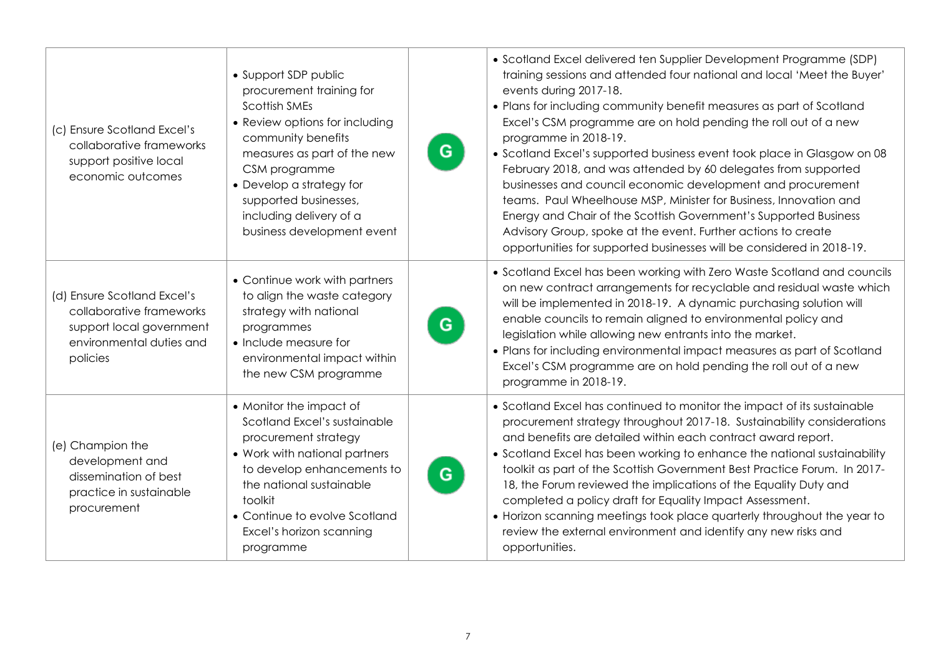| (c) Ensure Scotland Excel's<br>collaborative frameworks<br>support positive local<br>economic outcomes                      | • Support SDP public<br>procurement training for<br><b>Scottish SMEs</b><br>• Review options for including<br>community benefits<br>measures as part of the new<br>CSM programme<br>• Develop a strategy for<br>supported businesses,<br>including delivery of a<br>business development event | G | • Scotland Excel delivered ten Supplier Development Programme (SDP)<br>training sessions and attended four national and local 'Meet the Buyer'<br>events during 2017-18.<br>• Plans for including community benefit measures as part of Scotland<br>Excel's CSM programme are on hold pending the roll out of a new<br>programme in 2018-19.<br>• Scotland Excel's supported business event took place in Glasgow on 08<br>February 2018, and was attended by 60 delegates from supported<br>businesses and council economic development and procurement<br>teams. Paul Wheelhouse MSP, Minister for Business, Innovation and<br>Energy and Chair of the Scottish Government's Supported Business<br>Advisory Group, spoke at the event. Further actions to create<br>opportunities for supported businesses will be considered in 2018-19. |
|-----------------------------------------------------------------------------------------------------------------------------|------------------------------------------------------------------------------------------------------------------------------------------------------------------------------------------------------------------------------------------------------------------------------------------------|---|---------------------------------------------------------------------------------------------------------------------------------------------------------------------------------------------------------------------------------------------------------------------------------------------------------------------------------------------------------------------------------------------------------------------------------------------------------------------------------------------------------------------------------------------------------------------------------------------------------------------------------------------------------------------------------------------------------------------------------------------------------------------------------------------------------------------------------------------|
| (d) Ensure Scotland Excel's<br>collaborative frameworks<br>support local government<br>environmental duties and<br>policies | • Continue work with partners<br>to align the waste category<br>strategy with national<br>programmes<br>• Include measure for<br>environmental impact within<br>the new CSM programme                                                                                                          | G | • Scotland Excel has been working with Zero Waste Scotland and councils<br>on new contract arrangements for recyclable and residual waste which<br>will be implemented in 2018-19. A dynamic purchasing solution will<br>enable councils to remain aligned to environmental policy and<br>legislation while allowing new entrants into the market.<br>• Plans for including environmental impact measures as part of Scotland<br>Excel's CSM programme are on hold pending the roll out of a new<br>programme in 2018-19.                                                                                                                                                                                                                                                                                                                   |
| (e) Champion the<br>development and<br>dissemination of best<br>practice in sustainable<br>procurement                      | • Monitor the impact of<br>Scotland Excel's sustainable<br>procurement strategy<br>• Work with national partners<br>to develop enhancements to<br>the national sustainable<br>toolkit<br>• Continue to evolve Scotland<br>Excel's horizon scanning<br>programme                                | G | • Scotland Excel has continued to monitor the impact of its sustainable<br>procurement strategy throughout 2017-18. Sustainability considerations<br>and benefits are detailed within each contract award report.<br>• Scotland Excel has been working to enhance the national sustainability<br>toolkit as part of the Scottish Government Best Practice Forum. In 2017-<br>18, the Forum reviewed the implications of the Equality Duty and<br>completed a policy draft for Equality Impact Assessment.<br>• Horizon scanning meetings took place quarterly throughout the year to<br>review the external environment and identify any new risks and<br>opportunities.                                                                                                                                                                    |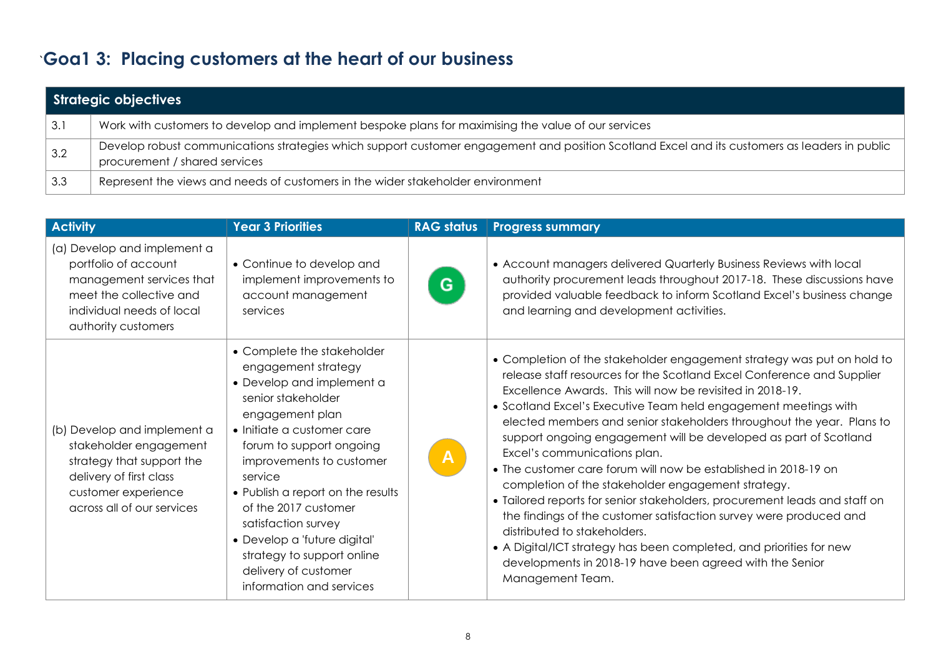## `**Goa1 3: Placing customers at the heart of our business**

|     | Strategic objectives                                                                                                                                                           |  |  |  |
|-----|--------------------------------------------------------------------------------------------------------------------------------------------------------------------------------|--|--|--|
| 3.1 | Work with customers to develop and implement bespoke plans for maximising the value of our services                                                                            |  |  |  |
| 3.2 | Develop robust communications strategies which support customer engagement and position Scotland Excel and its customers as leaders in public<br>procurement / shared services |  |  |  |
| 3.3 | Represent the views and needs of customers in the wider stakeholder environment                                                                                                |  |  |  |

| <b>Activity</b>                                                                                                                                                    | <b>Year 3 Priorities</b>                                                                                                                                                                                                                                                                                                                                                                                                       | <b>RAG status</b> | <b>Progress summary</b>                                                                                                                                                                                                                                                                                                                                                                                                                                                                                                                                                                                                                                                                                                                                                                                                                                                                                                           |
|--------------------------------------------------------------------------------------------------------------------------------------------------------------------|--------------------------------------------------------------------------------------------------------------------------------------------------------------------------------------------------------------------------------------------------------------------------------------------------------------------------------------------------------------------------------------------------------------------------------|-------------------|-----------------------------------------------------------------------------------------------------------------------------------------------------------------------------------------------------------------------------------------------------------------------------------------------------------------------------------------------------------------------------------------------------------------------------------------------------------------------------------------------------------------------------------------------------------------------------------------------------------------------------------------------------------------------------------------------------------------------------------------------------------------------------------------------------------------------------------------------------------------------------------------------------------------------------------|
| (a) Develop and implement a<br>portfolio of account<br>management services that<br>meet the collective and<br>individual needs of local<br>authority customers     | • Continue to develop and<br>implement improvements to<br>account management<br>services                                                                                                                                                                                                                                                                                                                                       | G                 | • Account managers delivered Quarterly Business Reviews with local<br>authority procurement leads throughout 2017-18. These discussions have<br>provided valuable feedback to inform Scotland Excel's business change<br>and learning and development activities.                                                                                                                                                                                                                                                                                                                                                                                                                                                                                                                                                                                                                                                                 |
| (b) Develop and implement a<br>stakeholder engagement<br>strategy that support the<br>delivery of first class<br>customer experience<br>across all of our services | • Complete the stakeholder<br>engagement strategy<br>• Develop and implement a<br>senior stakeholder<br>engagement plan<br>• Initiate a customer care<br>forum to support ongoing<br>improvements to customer<br>service<br>• Publish a report on the results<br>of the 2017 customer<br>satisfaction survey<br>• Develop a 'future digital'<br>strategy to support online<br>delivery of customer<br>information and services | $\mathsf{A}$      | • Completion of the stakeholder engagement strategy was put on hold to<br>release staff resources for the Scotland Excel Conference and Supplier<br>Excellence Awards. This will now be revisited in 2018-19.<br>• Scotland Excel's Executive Team held engagement meetings with<br>elected members and senior stakeholders throughout the year. Plans to<br>support ongoing engagement will be developed as part of Scotland<br>Excel's communications plan.<br>• The customer care forum will now be established in 2018-19 on<br>completion of the stakeholder engagement strategy.<br>• Tailored reports for senior stakeholders, procurement leads and staff on<br>the findings of the customer satisfaction survey were produced and<br>distributed to stakeholders.<br>• A Digital/ICT strategy has been completed, and priorities for new<br>developments in 2018-19 have been agreed with the Senior<br>Management Team. |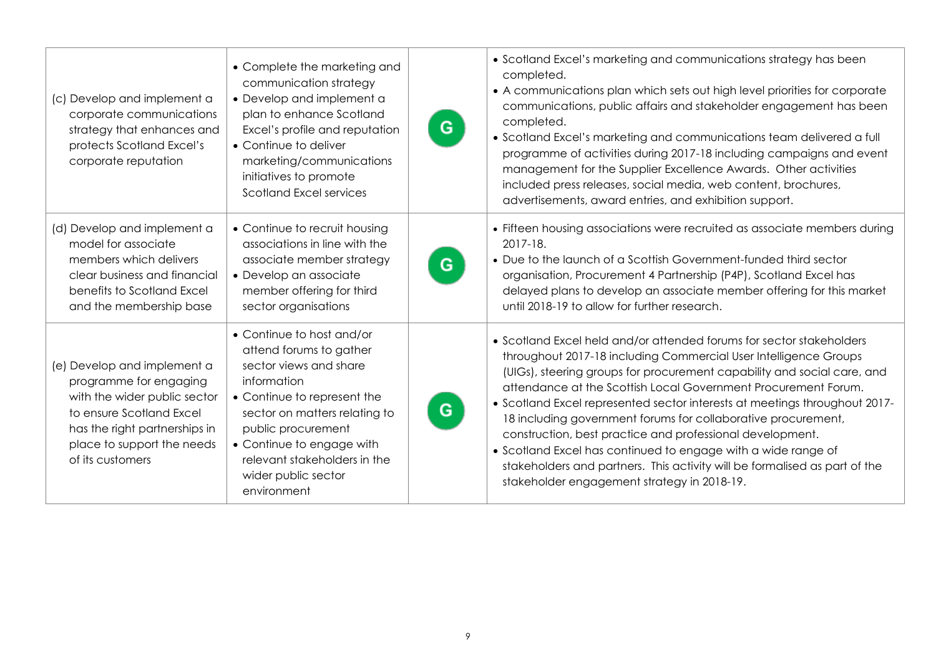| (c) Develop and implement a<br>corporate communications<br>strategy that enhances and<br>protects Scotland Excel's<br>corporate reputation                                                           | • Complete the marketing and<br>communication strategy<br>• Develop and implement a<br>plan to enhance Scotland<br>Excel's profile and reputation<br>• Continue to deliver<br>marketing/communications<br>initiatives to promote<br>Scotland Excel services                            | G | • Scotland Excel's marketing and communications strategy has been<br>completed.<br>• A communications plan which sets out high level priorities for corporate<br>communications, public affairs and stakeholder engagement has been<br>completed.<br>• Scotland Excel's marketing and communications team delivered a full<br>programme of activities during 2017-18 including campaigns and event<br>management for the Supplier Excellence Awards. Other activities<br>included press releases, social media, web content, brochures,<br>advertisements, award entries, and exhibition support.                                                                                               |
|------------------------------------------------------------------------------------------------------------------------------------------------------------------------------------------------------|----------------------------------------------------------------------------------------------------------------------------------------------------------------------------------------------------------------------------------------------------------------------------------------|---|-------------------------------------------------------------------------------------------------------------------------------------------------------------------------------------------------------------------------------------------------------------------------------------------------------------------------------------------------------------------------------------------------------------------------------------------------------------------------------------------------------------------------------------------------------------------------------------------------------------------------------------------------------------------------------------------------|
| (d) Develop and implement a<br>model for associate<br>members which delivers<br>clear business and financial<br>benefits to Scotland Excel<br>and the membership base                                | • Continue to recruit housing<br>associations in line with the<br>associate member strategy<br>• Develop an associate<br>member offering for third<br>sector organisations                                                                                                             | G | • Fifteen housing associations were recruited as associate members during<br>2017-18.<br>• Due to the launch of a Scottish Government-funded third sector<br>organisation, Procurement 4 Partnership (P4P), Scotland Excel has<br>delayed plans to develop an associate member offering for this market<br>until 2018-19 to allow for further research.                                                                                                                                                                                                                                                                                                                                         |
| (e) Develop and implement a<br>programme for engaging<br>with the wider public sector<br>to ensure Scotland Excel<br>has the right partnerships in<br>place to support the needs<br>of its customers | • Continue to host and/or<br>attend forums to gather<br>sector views and share<br>information<br>• Continue to represent the<br>sector on matters relating to<br>public procurement<br>• Continue to engage with<br>relevant stakeholders in the<br>wider public sector<br>environment | G | • Scotland Excel held and/or attended forums for sector stakeholders<br>throughout 2017-18 including Commercial User Intelligence Groups<br>(UIGs), steering groups for procurement capability and social care, and<br>attendance at the Scottish Local Government Procurement Forum.<br>• Scotland Excel represented sector interests at meetings throughout 2017-<br>18 including government forums for collaborative procurement,<br>construction, best practice and professional development.<br>• Scotland Excel has continued to engage with a wide range of<br>stakeholders and partners. This activity will be formalised as part of the<br>stakeholder engagement strategy in 2018-19. |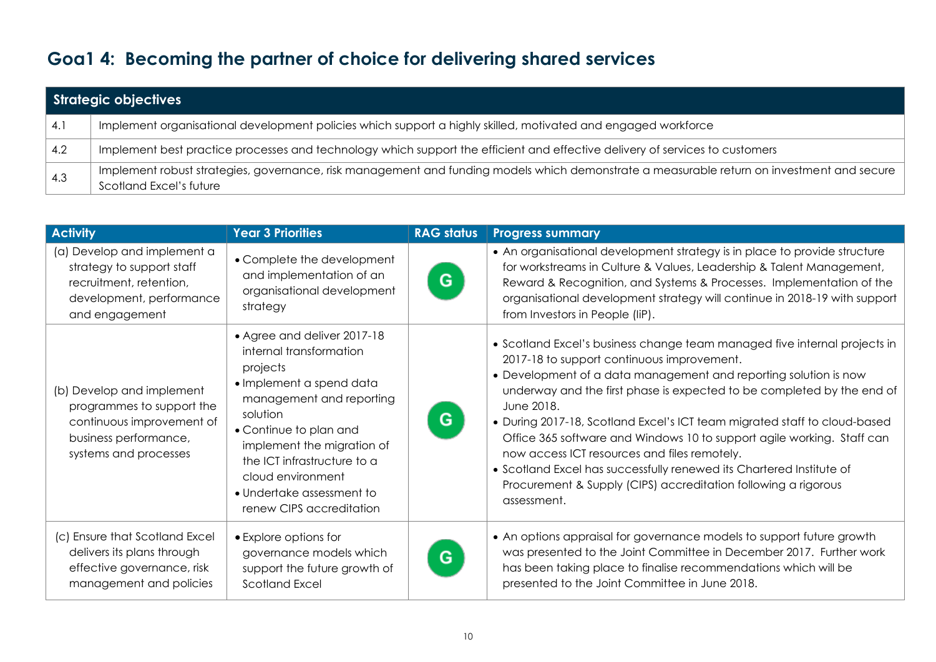## **Goa1 4: Becoming the partner of choice for delivering shared services**

|           | Strategic objectives                                                                                                                                                  |
|-----------|-----------------------------------------------------------------------------------------------------------------------------------------------------------------------|
| $\sim$ 4. | Implement organisational development policies which support a highly skilled, motivated and engaged workforce                                                         |
| 4.2       | Implement best practice processes and technology which support the efficient and effective delivery of services to customers                                          |
| 4.3       | Implement robust strategies, governance, risk management and funding models which demonstrate a measurable return on investment and secure<br>Scotland Excel's future |

| <b>Activity</b>                                                                                                                       | <b>Year 3 Priorities</b>                                                                                                                                                                                                                                                                                    | <b>RAG status</b> | <b>Progress summary</b>                                                                                                                                                                                                                                                                                                                                                                                                                                                                                                                                                                                                                             |  |
|---------------------------------------------------------------------------------------------------------------------------------------|-------------------------------------------------------------------------------------------------------------------------------------------------------------------------------------------------------------------------------------------------------------------------------------------------------------|-------------------|-----------------------------------------------------------------------------------------------------------------------------------------------------------------------------------------------------------------------------------------------------------------------------------------------------------------------------------------------------------------------------------------------------------------------------------------------------------------------------------------------------------------------------------------------------------------------------------------------------------------------------------------------------|--|
| (a) Develop and implement a<br>strategy to support staff<br>recruitment, retention,<br>development, performance<br>and engagement     | • Complete the development<br>and implementation of an<br>organisational development<br>strategy                                                                                                                                                                                                            | G                 | • An organisational development strategy is in place to provide structure<br>for workstreams in Culture & Values, Leadership & Talent Management,<br>Reward & Recognition, and Systems & Processes. Implementation of the<br>organisational development strategy will continue in 2018-19 with support<br>from Investors in People (IiP).                                                                                                                                                                                                                                                                                                           |  |
| (b) Develop and implement<br>programmes to support the<br>continuous improvement of<br>business performance,<br>systems and processes | • Agree and deliver 2017-18<br>internal transformation<br>projects<br>• Implement a spend data<br>management and reporting<br>solution<br>• Continue to plan and<br>implement the migration of<br>the ICT infrastructure to a<br>cloud environment<br>• Undertake assessment to<br>renew CIPS accreditation | G                 | • Scotland Excel's business change team managed five internal projects in<br>2017-18 to support continuous improvement.<br>• Development of a data management and reporting solution is now<br>underway and the first phase is expected to be completed by the end of<br>June 2018.<br>• During 2017-18, Scotland Excel's ICT team migrated staff to cloud-based<br>Office 365 software and Windows 10 to support agile working. Staff can<br>now access ICT resources and files remotely.<br>• Scotland Excel has successfully renewed its Chartered Institute of<br>Procurement & Supply (CIPS) accreditation following a rigorous<br>assessment. |  |
| (c) Ensure that Scotland Excel<br>delivers its plans through<br>effective governance, risk<br>management and policies                 | • Explore options for<br>governance models which<br>support the future growth of<br><b>Scotland Excel</b>                                                                                                                                                                                                   | G                 | • An options appraisal for governance models to support future growth<br>was presented to the Joint Committee in December 2017. Further work<br>has been taking place to finalise recommendations which will be<br>presented to the Joint Committee in June 2018.                                                                                                                                                                                                                                                                                                                                                                                   |  |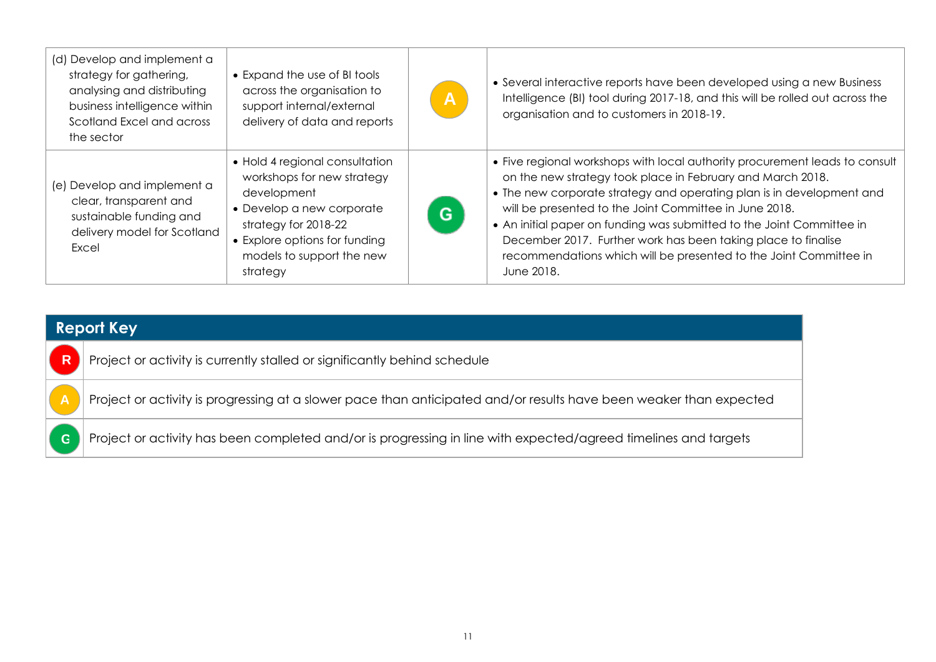| (d) Develop and implement a<br>strategy for gathering,<br>analysing and distributing<br>business intelligence within<br>Scotland Excel and across<br>the sector | • Expand the use of BI tools<br>across the organisation to<br>support internal/external<br>delivery of data and reports                                                                                    | $\overline{A}$ | • Several interactive reports have been developed using a new Business<br>Intelligence (BI) tool during 2017-18, and this will be rolled out across the<br>organisation and to customers in 2018-19.                                                                                                                                                                                                                                                                                                      |
|-----------------------------------------------------------------------------------------------------------------------------------------------------------------|------------------------------------------------------------------------------------------------------------------------------------------------------------------------------------------------------------|----------------|-----------------------------------------------------------------------------------------------------------------------------------------------------------------------------------------------------------------------------------------------------------------------------------------------------------------------------------------------------------------------------------------------------------------------------------------------------------------------------------------------------------|
| (e) Develop and implement a<br>clear, transparent and<br>sustainable funding and<br>delivery model for Scotland<br>Excel                                        | • Hold 4 regional consultation<br>workshops for new strategy<br>development<br>• Develop a new corporate<br>strategy for 2018-22<br>• Explore options for funding<br>models to support the new<br>strategy | G              | • Five regional workshops with local authority procurement leads to consult<br>on the new strategy took place in February and March 2018.<br>• The new corporate strategy and operating plan is in development and<br>will be presented to the Joint Committee in June 2018.<br>• An initial paper on funding was submitted to the Joint Committee in<br>December 2017. Further work has been taking place to finalise<br>recommendations which will be presented to the Joint Committee in<br>June 2018. |

| Report Key  |                                                                                                                    |  |  |  |
|-------------|--------------------------------------------------------------------------------------------------------------------|--|--|--|
| R           | Project or activity is currently stalled or significantly behind schedule                                          |  |  |  |
|             | Project or activity is progressing at a slower pace than anticipated and/or results have been weaker than expected |  |  |  |
| $\mathbf G$ | Project or activity has been completed and/or is progressing in line with expected/agreed timelines and targets    |  |  |  |